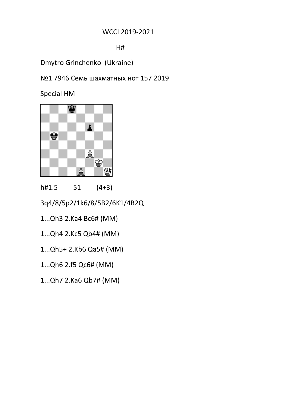## WCCI 2019-2021

H#

Dmytro Grinchenko (Ukraine)

№1 7946 Семь шахматных нот 157 2019

Special HM



h#1.5 51 (4+3)

3q4/8/5p2/1k6/8/5B2/6K1/4B2Q

1...Qh3 2.Ka4 Bc6# (MM)

- 1...Qh4 2.Kc5 Qb4# (MM)
- 1...Qh5+ 2.Kb6 Qa5# (MM)

1...Qh6 2.f5 Qc6# (MM)

1...Qh7 2.Ka6 Qb7# (MM)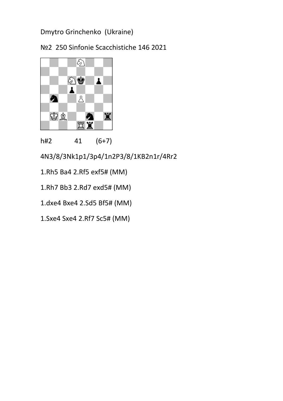№2 250 Sinfonie Scacchistiche 146 2021



h#2 41 (6+7)

4N3/8/3Nk1p1/3p4/1n2P3/8/1KB2n1r/4Rr2

- 1.Rh5 Ba4 2.Rf5 exf5# (MM)
- 1.Rh7 Bb3 2.Rd7 exd5# (MM)

1.dxe4 Bxe4 2.Sd5 Bf5# (MM)

1.Sxe4 Sxe4 2.Rf7 Sc5# (MM)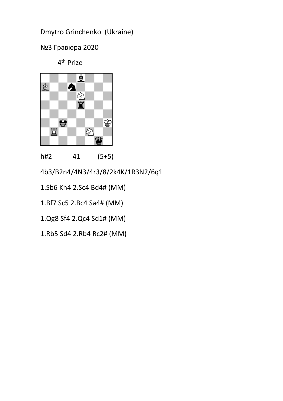№3 Гравюра 2020

4<sup>th</sup> Prize



h#2 41 (5+5)

4b3/B2n4/4N3/4r3/8/2k4K/1R3N2/6q1

1.Sb6 Kh4 2.Sc4 Bd4# (MM)

1.Bf7 Sc5 2.Bc4 Sa4# (MM)

1.Qg8 Sf4 2.Qc4 Sd1# (MM)

1.Rb5 Sd4 2.Rb4 Rc2# (MM)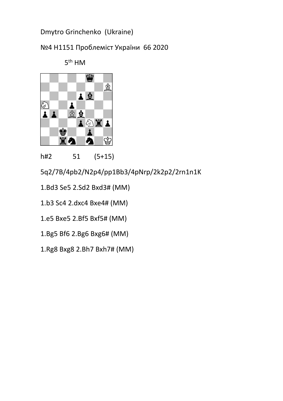№4 H1151 Проблемiст України 66 2020



h#2 51 (5+15)

5q2/7B/4pb2/N2p4/pp1Bb3/4pNrp/2k2p2/2rn1n1K

1.Bd3 Se5 2.Sd2 Bxd3# (MM)

1.b3 Sc4 2.dxc4 Bxe4# (MM)

1.e5 Bxe5 2.Bf5 Bxf5# (MM)

1.Bg5 Bf6 2.Bg6 Bxg6# (MM)

1.Rg8 Bxg8 2.Bh7 Bxh7# (MM)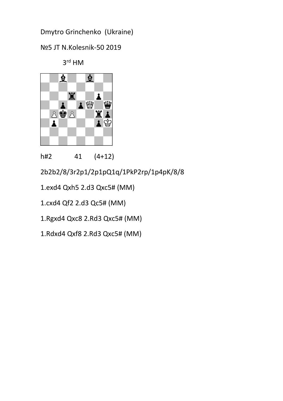№5 JT N.Kolesnik-50 2019





h#2 41 (4+12)

2b2b2/8/3r2p1/2p1pQ1q/1PkP2rp/1p4pK/8/8

1.exd4 Qxh5 2.d3 Qxc5# (MM)

1.cxd4 Qf2 2.d3 Qc5# (MM)

1.Rgxd4 Qxc8 2.Rd3 Qxc5# (MM)

1.Rdxd4 Qxf8 2.Rd3 Qxc5# (MM)